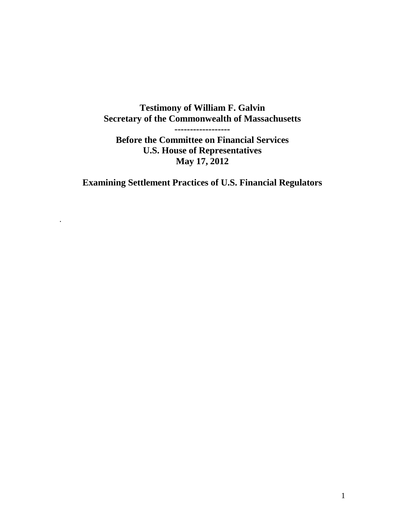# **Testimony of William F. Galvin Secretary of the Commonwealth of Massachusetts**

**------------------**

**Before the Committee on Financial Services U.S. House of Representatives May 17, 2012**

**Examining Settlement Practices of U.S. Financial Regulators**

.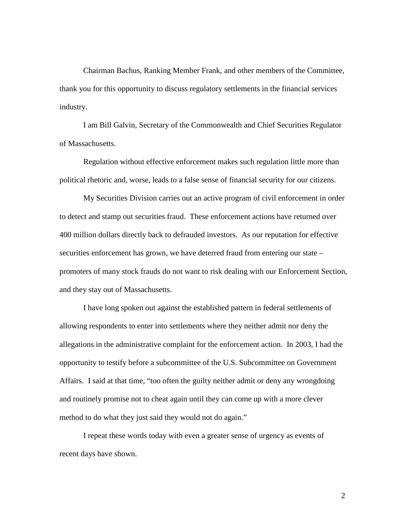Chairman Bachus, Ranking Member Frank, and other members of the Committee, thank you for this opportunity to discuss regulatory settlements in the financial services industry.

I am Bill Galvin, Secretary of the Commonwealth and Chief Securities Regulator of Massachusetts.

Regulation without effective enforcement makes such regulation little more than political rhetoric and, worse, leads to a false sense of financial security for our citizens.

My Securities Division carries out an active program of civil enforcement in order to detect and stamp out securities fraud. These enforcement actions have returned over 400 million dollars directly back to defrauded investors. As our reputation for effective securities enforcement has grown, we have deterred fraud from entering our state – promoters of many stock frauds do not want to risk dealing with our Enforcement Section, and they stay out of Massachusetts.

I have long spoken out against the established pattern in federal settlements of allowing respondents to enter into settlements where they neither admit nor deny the allegations in the administrative complaint for the enforcement action. In 2003, I had the opportunity to testify before a subcommittee of the U.S. Subcommittee on Government Affairs. I said at that time, "too often the guilty neither admit or deny any wrongdoing and routinely promise not to cheat again until they can come up with a more clever method to do what they just said they would not do again."

I repeat these words today with even a greater sense of urgency as events of recent days have shown.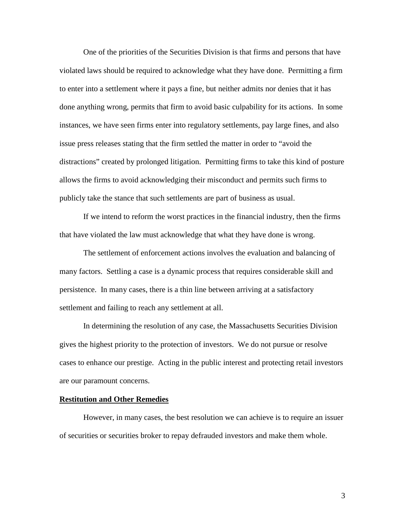One of the priorities of the Securities Division is that firms and persons that have violated laws should be required to acknowledge what they have done. Permitting a firm to enter into a settlement where it pays a fine, but neither admits nor denies that it has done anything wrong, permits that firm to avoid basic culpability for its actions. In some instances, we have seen firms enter into regulatory settlements, pay large fines, and also issue press releases stating that the firm settled the matter in order to "avoid the distractions" created by prolonged litigation. Permitting firms to take this kind of posture allows the firms to avoid acknowledging their misconduct and permits such firms to publicly take the stance that such settlements are part of business as usual.

If we intend to reform the worst practices in the financial industry, then the firms that have violated the law must acknowledge that what they have done is wrong.

The settlement of enforcement actions involves the evaluation and balancing of many factors. Settling a case is a dynamic process that requires considerable skill and persistence. In many cases, there is a thin line between arriving at a satisfactory settlement and failing to reach any settlement at all.

In determining the resolution of any case, the Massachusetts Securities Division gives the highest priority to the protection of investors. We do not pursue or resolve cases to enhance our prestige. Acting in the public interest and protecting retail investors are our paramount concerns.

## **Restitution and Other Remedies**

However, in many cases, the best resolution we can achieve is to require an issuer of securities or securities broker to repay defrauded investors and make them whole.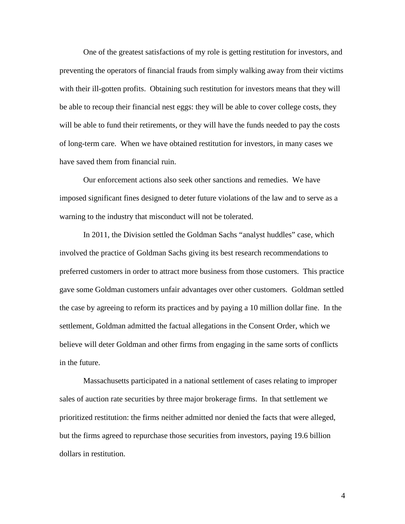One of the greatest satisfactions of my role is getting restitution for investors, and preventing the operators of financial frauds from simply walking away from their victims with their ill-gotten profits. Obtaining such restitution for investors means that they will be able to recoup their financial nest eggs: they will be able to cover college costs, they will be able to fund their retirements, or they will have the funds needed to pay the costs of long-term care. When we have obtained restitution for investors, in many cases we have saved them from financial ruin.

Our enforcement actions also seek other sanctions and remedies. We have imposed significant fines designed to deter future violations of the law and to serve as a warning to the industry that misconduct will not be tolerated.

In 2011, the Division settled the Goldman Sachs "analyst huddles" case, which involved the practice of Goldman Sachs giving its best research recommendations to preferred customers in order to attract more business from those customers. This practice gave some Goldman customers unfair advantages over other customers. Goldman settled the case by agreeing to reform its practices and by paying a 10 million dollar fine. In the settlement, Goldman admitted the factual allegations in the Consent Order, which we believe will deter Goldman and other firms from engaging in the same sorts of conflicts in the future.

Massachusetts participated in a national settlement of cases relating to improper sales of auction rate securities by three major brokerage firms. In that settlement we prioritized restitution: the firms neither admitted nor denied the facts that were alleged, but the firms agreed to repurchase those securities from investors, paying 19.6 billion dollars in restitution.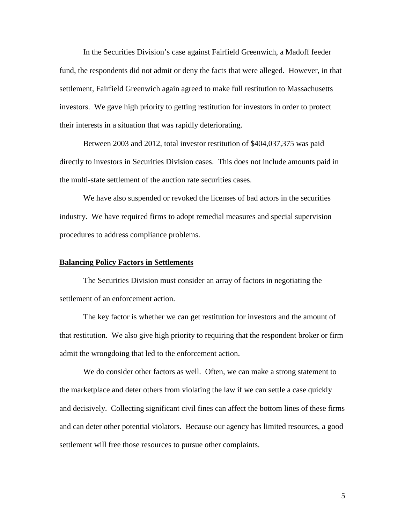In the Securities Division's case against Fairfield Greenwich, a Madoff feeder fund, the respondents did not admit or deny the facts that were alleged. However, in that settlement, Fairfield Greenwich again agreed to make full restitution to Massachusetts investors. We gave high priority to getting restitution for investors in order to protect their interests in a situation that was rapidly deteriorating.

Between 2003 and 2012, total investor restitution of \$404,037,375 was paid directly to investors in Securities Division cases. This does not include amounts paid in the multi-state settlement of the auction rate securities cases.

We have also suspended or revoked the licenses of bad actors in the securities industry. We have required firms to adopt remedial measures and special supervision procedures to address compliance problems.

## **Balancing Policy Factors in Settlements**

The Securities Division must consider an array of factors in negotiating the settlement of an enforcement action.

The key factor is whether we can get restitution for investors and the amount of that restitution. We also give high priority to requiring that the respondent broker or firm admit the wrongdoing that led to the enforcement action.

We do consider other factors as well. Often, we can make a strong statement to the marketplace and deter others from violating the law if we can settle a case quickly and decisively. Collecting significant civil fines can affect the bottom lines of these firms and can deter other potential violators. Because our agency has limited resources, a good settlement will free those resources to pursue other complaints.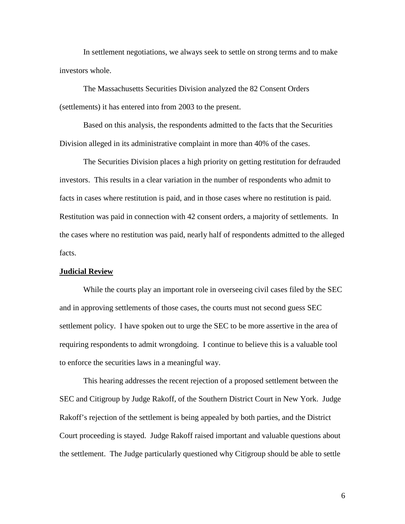In settlement negotiations, we always seek to settle on strong terms and to make investors whole.

The Massachusetts Securities Division analyzed the 82 Consent Orders (settlements) it has entered into from 2003 to the present.

Based on this analysis, the respondents admitted to the facts that the Securities Division alleged in its administrative complaint in more than 40% of the cases.

The Securities Division places a high priority on getting restitution for defrauded investors. This results in a clear variation in the number of respondents who admit to facts in cases where restitution is paid, and in those cases where no restitution is paid. Restitution was paid in connection with 42 consent orders, a majority of settlements. In the cases where no restitution was paid, nearly half of respondents admitted to the alleged facts.

### **Judicial Review**

While the courts play an important role in overseeing civil cases filed by the SEC and in approving settlements of those cases, the courts must not second guess SEC settlement policy. I have spoken out to urge the SEC to be more assertive in the area of requiring respondents to admit wrongdoing. I continue to believe this is a valuable tool to enforce the securities laws in a meaningful way.

This hearing addresses the recent rejection of a proposed settlement between the SEC and Citigroup by Judge Rakoff, of the Southern District Court in New York. Judge Rakoff's rejection of the settlement is being appealed by both parties, and the District Court proceeding is stayed. Judge Rakoff raised important and valuable questions about the settlement. The Judge particularly questioned why Citigroup should be able to settle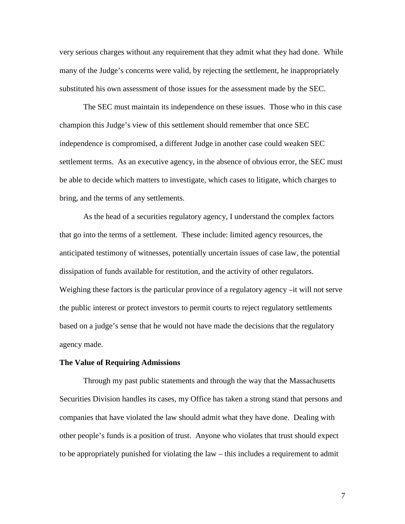very serious charges without any requirement that they admit what they had done. While many of the Judge's concerns were valid, by rejecting the settlement, he inappropriately substituted his own assessment of those issues for the assessment made by the SEC.

The SEC must maintain its independence on these issues. Those who in this case champion this Judge's view of this settlement should remember that once SEC independence is compromised, a different Judge in another case could weaken SEC settlement terms. As an executive agency, in the absence of obvious error, the SEC must be able to decide which matters to investigate, which cases to litigate, which charges to bring, and the terms of any settlements.

As the head of a securities regulatory agency, I understand the complex factors that go into the terms of a settlement. These include: limited agency resources, the anticipated testimony of witnesses, potentially uncertain issues of case law, the potential dissipation of funds available for restitution, and the activity of other regulators. Weighing these factors is the particular province of a regulatory agency –it will not serve the public interest or protect investors to permit courts to reject regulatory settlements based on a judge's sense that he would not have made the decisions that the regulatory agency made.

### **The Value of Requiring Admissions**

Through my past public statements and through the way that the Massachusetts Securities Division handles its cases, my Office has taken a strong stand that persons and companies that have violated the law should admit what they have done. Dealing with other people's funds is a position of trust. Anyone who violates that trust should expect to be appropriately punished for violating the law – this includes a requirement to admit